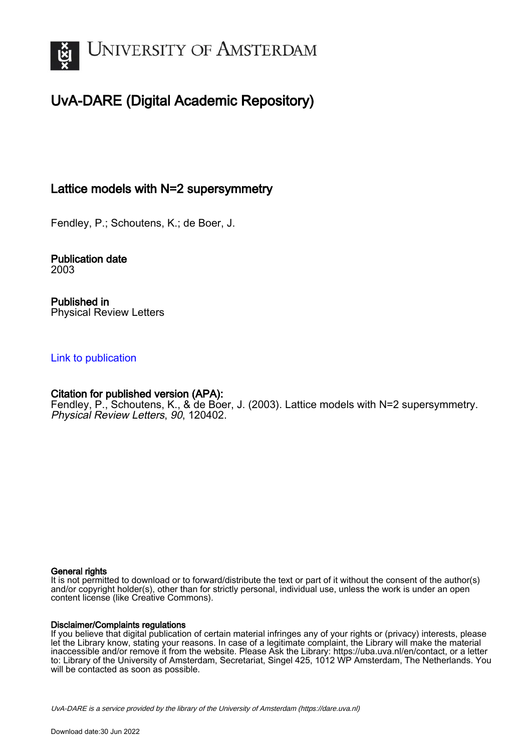

# UvA-DARE (Digital Academic Repository)

# Lattice models with N=2 supersymmetry

Fendley, P.; Schoutens, K.; de Boer, J.

Publication date 2003

Published in Physical Review Letters

## [Link to publication](https://dare.uva.nl/personal/pure/en/publications/lattice-models-with-n2-supersymmetry(82709050-ef4d-47c0-bf24-bd01dd7c7395).html)

# Citation for published version (APA):

Fendley, P., Schoutens, K., & de Boer, J. (2003). Lattice models with N=2 supersymmetry. Physical Review Letters, 90, 120402.

#### General rights

It is not permitted to download or to forward/distribute the text or part of it without the consent of the author(s) and/or copyright holder(s), other than for strictly personal, individual use, unless the work is under an open content license (like Creative Commons).

#### Disclaimer/Complaints regulations

If you believe that digital publication of certain material infringes any of your rights or (privacy) interests, please let the Library know, stating your reasons. In case of a legitimate complaint, the Library will make the material inaccessible and/or remove it from the website. Please Ask the Library: https://uba.uva.nl/en/contact, or a letter to: Library of the University of Amsterdam, Secretariat, Singel 425, 1012 WP Amsterdam, The Netherlands. You will be contacted as soon as possible.

UvA-DARE is a service provided by the library of the University of Amsterdam (http*s*://dare.uva.nl)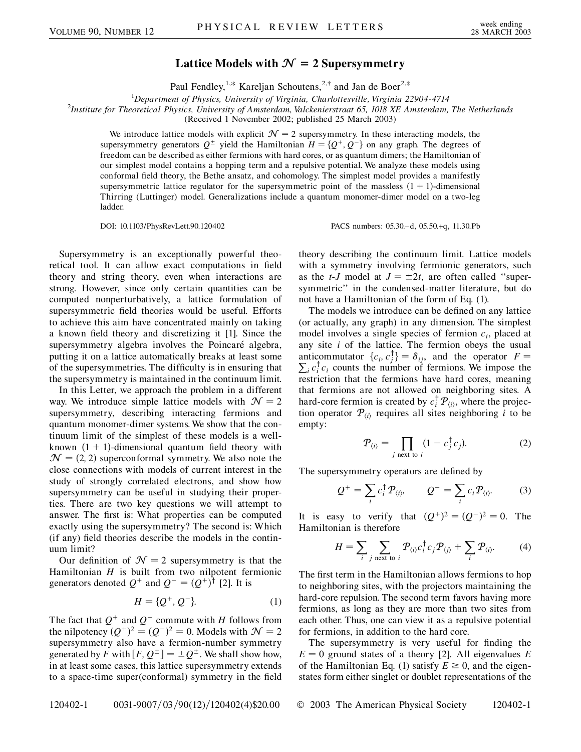### **Lattice Models with**  $\mathcal{N} = 2$  **Supersymmetry**

Paul Fendley,<sup>1,\*</sup> Kareljan Schoutens,<sup>2,†</sup> and Jan de Boer<sup>2,‡</sup>

<sup>1</sup> Department of Physics, University of Virginia, Charlottesville, Virginia 22904-4714<br><sup>2</sup>Institute for Theoretical Physics, University of Amsterdam Valckenierstraat 65, 1018 YF Amsterdam

*Institute for Theoretical Physics, University of Amsterdam, Valckenierstraat 65, 1018 XE Amsterdam, The Netherlands*

(Received 1 November 2002; published 25 March 2003)

We introduce lattice models with explicit  $\mathcal{N} = 2$  supersymmetry. In these interacting models, the supersymmetry generators  $Q^{\pm}$  yield the Hamiltonian  $H = \{Q^+, Q^-\}$  on any graph. The degrees of freedom can be described as either fermions with hard cores, or as quantum dimers; the Hamiltonian of our simplest model contains a hopping term and a repulsive potential. We analyze these models using conformal field theory, the Bethe ansatz, and cohomology. The simplest model provides a manifestly supersymmetric lattice regulator for the supersymmetric point of the massless  $(1 + 1)$ -dimensional Thirring (Luttinger) model. Generalizations include a quantum monomer-dimer model on a two-leg ladder.

DOI: 10.1103/PhysRevLett.90.120402 PACS numbers: 05.30.–d, 05.50.+q, 11.30.Pb

Supersymmetry is an exceptionally powerful theoretical tool. It can allow exact computations in field theory and string theory, even when interactions are strong. However, since only certain quantities can be computed nonperturbatively, a lattice formulation of supersymmetric field theories would be useful. Efforts to achieve this aim have concentrated mainly on taking a known field theory and discretizing it [1]. Since the supersymmetry algebra involves the Poincaré algebra, putting it on a lattice automatically breaks at least some of the supersymmetries. The difficulty is in ensuring that the supersymmetry is maintained in the continuum limit.

In this Letter, we approach the problem in a different way. We introduce simple lattice models with  $\mathcal{N} = 2$ supersymmetry, describing interacting fermions and quantum monomer-dimer systems. We show that the continuum limit of the simplest of these models is a wellknown  $(1 + 1)$ -dimensional quantum field theory with  $\mathcal{N} = (2, 2)$  superconformal symmetry. We also note the close connections with models of current interest in the study of strongly correlated electrons, and show how supersymmetry can be useful in studying their properties. There are two key questions we will attempt to answer. The first is: What properties can be computed exactly using the supersymmetry? The second is: Which (if any) field theories describe the models in the continuum limit?

Our definition of  $\mathcal{N} = 2$  supersymmetry is that the Hamiltonian *H* is built from two nilpotent fermionic generators denoted  $Q^+$  and  $Q^- = (Q^+)^{\dagger}$  [2]. It is

$$
H = \{Q^+, Q^-\}.
$$
 (1)

The fact that  $Q^+$  and  $Q^-$  commute with *H* follows from the nilpotency  $(Q^+)^2 = (Q^-)^2 = 0$ . Models with  $\mathcal{N} = 2$ supersymmetry also have a fermion-number symmetry generated by F with  $[F, Q^{\pm}] = \pm Q^{\pm}$ . We shall show how, in at least some cases, this lattice supersymmetry extends to a space-time super(conformal) symmetry in the field theory describing the continuum limit. Lattice models with a symmetry involving fermionic generators, such as the *t*-*J* model at  $J = \pm 2t$ , are often called "supersymmetric'' in the condensed-matter literature, but do not have a Hamiltonian of the form of Eq. (1).

The models we introduce can be defined on any lattice (or actually, any graph) in any dimension. The simplest model involves a single species of fermion *ci*, placed at any site *i* of the lattice. The fermion obeys the usual anticommutator  $\{c_i, c_j^{\dagger}\} = \delta_{ij}$ , and the operator  $F =$  $\sum_i c_i^{\dagger} c_i$  counts the number of fermions. We impose the restriction that the fermions have hard cores, meaning that fermions are not allowed on neighboring sites. A hard-core fermion is created by  $c_i^{\dagger} P_{\langle i \rangle}$ , where the projection operator  $P_{\langle i \rangle}$  requires all sites neighboring *i* to be empty:

$$
\mathcal{P}_{\langle i \rangle} = \prod_{j \text{ next to } i} (1 - c_j^{\dagger} c_j). \tag{2}
$$

The supersymmetry operators are defined by

$$
Q^+ = \sum_i c_i^{\dagger} P_{\langle i \rangle}, \qquad Q^- = \sum_i c_i P_{\langle i \rangle}. \qquad (3)
$$

It is easy to verify that  $(Q^+)^2 = (Q^-)^2 = 0$ . The Hamiltonian is therefore

$$
H = \sum_{i} \sum_{j \text{ next to } i} \mathcal{P}_{\langle i \rangle} c_i^{\dagger} c_j \mathcal{P}_{\langle j \rangle} + \sum_{i} \mathcal{P}_{\langle i \rangle}. \tag{4}
$$

The first term in the Hamiltonian allows fermions to hop to neighboring sites, with the projectors maintaining the hard-core repulsion. The second term favors having more fermions, as long as they are more than two sites from each other. Thus, one can view it as a repulsive potential for fermions, in addition to the hard core.

The supersymmetry is very useful for finding the  $E = 0$  ground states of a theory [2]. All eigenvalues *E* of the Hamiltonian Eq. (1) satisfy  $E \ge 0$ , and the eigenstates form either singlet or doublet representations of the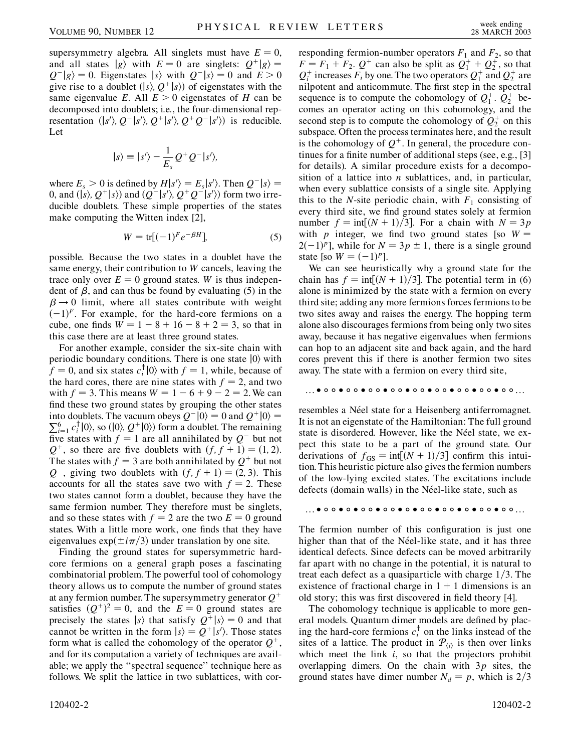supersymmetry algebra. All singlets must have  $E = 0$ , and all states  $|g\rangle$  with  $E = 0$  are singlets:  $Q^+|g\rangle =$  $Q^{-}|g\rangle = 0$ . Eigenstates  $|s\rangle$  with  $Q^{-}|s\rangle = 0$  and  $E > 0$ give rise to a doublet  $\langle |s\rangle, Q^+|s\rangle$  of eigenstates with the same eigenvalue *E*. All  $E > 0$  eigenstates of *H* can be decomposed into doublets; i.e., the four-dimensional representation  $(|s'\rangle, Q^{-}|s'\rangle, Q^{+}|s'\rangle, Q^{+}Q^{-}|s'\rangle)$  is reducible. Let

$$
|s\rangle \equiv |s'\rangle - \frac{1}{E_s}Q^+Q^-|s'\rangle,
$$

where  $E_s > 0$  is defined by  $H|s'\rangle = E_s|s'\rangle$ . Then  $Q^-|s\rangle =$ 0, and ( $|s\rangle$ ,  $Q^+|s\rangle$ ) and  $(Q^-|s'\rangle, Q^+Q^-|s'\rangle)$  form two irreducible doublets. These simple properties of the states make computing the Witten index [2],

$$
W = \text{tr}[(-1)^F e^{-\beta H}], \tag{5}
$$

possible. Because the two states in a doublet have the same energy, their contribution to *W* cancels, leaving the trace only over  $E = 0$  ground states. W is thus independent of  $\beta$ , and can thus be found by evaluating (5) in the  $\beta \rightarrow 0$  limit, where all states contribute with weight  $(-1)^F$ . For example, for the hard-core fermions on a cube, one finds  $W = 1 - 8 + 16 - 8 + 2 = 3$ , so that in this case there are at least three ground states.

For another example, consider the six-site chain with periodic boundary conditions. There is one state  $|0\rangle$  with  $f = 0$ , and six states  $c_i^{\dagger} |0\rangle$  with  $f = 1$ , while, because of the hard cores, there are nine states with  $f = 2$ , and two with  $f = 3$ . This means  $W = 1 - 6 + 9 - 2 = 2$ . We can find these two ground states by grouping the other states into doublets. The vacuum obeys  $Q^{-} |0\rangle = 0$  and  $Q^{+} |0\rangle = 0$  $\sum_{i=1}^{6} c_i^{\dagger} |0\rangle$ , so (|0),  $Q^+ |0\rangle$ ) form a doublet. The remaining five states with  $f = 1$  are all annihilated by  $Q^-$  but not  $Q^+$ , so there are five doublets with  $(f, f + 1) = (1, 2)$ . The states with  $f = 3$  are both annihilated by  $Q^+$  but not  $Q^-$ , giving two doublets with  $(f, f + 1) = (2, 3)$ . This accounts for all the states save two with  $f = 2$ . These two states cannot form a doublet, because they have the same fermion number. They therefore must be singlets, and so these states with  $f = 2$  are the two  $E = 0$  ground states. With a little more work, one finds that they have eigenvalues  $\exp(\pm i\pi/3)$  under translation by one site.

Finding the ground states for supersymmetric hardcore fermions on a general graph poses a fascinating combinatorial problem. The powerful tool of cohomology theory allows us to compute the number of ground states at any fermion number. The supersymmetry generator *Q* satisfies  $(Q^+)^2 = 0$ , and the  $E = 0$  ground states are precisely the states  $|s\rangle$  that satisfy  $Q^+|s\rangle = 0$  and that cannot be written in the form  $|s\rangle = Q^+|s'\rangle$ . Those states form what is called the cohomology of the operator  $Q^+$ , and for its computation a variety of techniques are available; we apply the ''spectral sequence'' technique here as follows. We split the lattice in two sublattices, with corresponding fermion-number operators  $F_1$  and  $F_2$ , so that  $F = F_1 + F_2$ .  $Q^+$  can also be split as  $Q_1^+ + Q_2^+$ , so that  $Q_i^+$  increases  $F_i$  by one. The two operators  $Q_1^+$  and  $Q_2^+$  are nilpotent and anticommute. The first step in the spectral sequence is to compute the cohomology of  $Q_1^+$ .  $Q_2^+$  becomes an operator acting on this cohomology, and the second step is to compute the cohomology of  $Q_2^+$  on this subspace. Often the process terminates here, and the result is the cohomology of  $Q^+$ . In general, the procedure continues for a finite number of additional steps (see, e.g., [3] for details). A similar procedure exists for a decomposition of a lattice into *n* sublattices, and, in particular, when every sublattice consists of a single site. Applying this to the *N*-site periodic chain, with  $F_1$  consisting of every third site, we find ground states solely at fermion number  $f = \text{int}[(N + 1)/3]$ . For a chain with  $N = 3p$ with *p* integer, we find two ground states [so  $W =$  $2(-1)^p$ ], while for  $N = 3p \pm 1$ , there is a single ground state [so  $W = (-1)^p$ ].

We can see heuristically why a ground state for the chain has  $f = \text{int}[(N + 1)/3]$ . The potential term in (6) alone is minimized by the state with a fermion on every third site; adding any more fermions forces fermions to be two sites away and raises the energy. The hopping term alone also discourages fermions from being only two sites away, because it has negative eigenvalues when fermions can hop to an adjacent site and back again, and the hard cores prevent this if there is another fermion two sites away. The state with a fermion on every third site,

#### ......

resembles a Néel state for a Heisenberg antiferromagnet. It is not an eigenstate of the Hamiltonian: The full ground state is disordered. However, like the Néel state, we expect this state to be a part of the ground state. Our derivations of  $f_{GS} = \text{int}[(N + 1)/3]$  confirm this intuition. This heuristic picture also gives the fermion numbers of the low-lying excited states. The excitations include defects (domain walls) in the Néel-like state, such as

......

The fermion number of this configuration is just one higher than that of the Néel-like state, and it has three identical defects. Since defects can be moved arbitrarily far apart with no change in the potential, it is natural to treat each defect as a quasiparticle with charge 1/3. The existence of fractional charge in  $1 + 1$  dimensions is an old story; this was first discovered in field theory [4].

The cohomology technique is applicable to more general models. Quantum dimer models are defined by placing the hard-core fermions  $c_i^{\dagger}$  on the links instead of the sites of a lattice. The product in  $P_{\langle i \rangle}$  is then over links which meet the link *i*, so that the projectors prohibit overlapping dimers. On the chain with 3*p* sites, the ground states have dimer number  $N_d = p$ , which is 2/3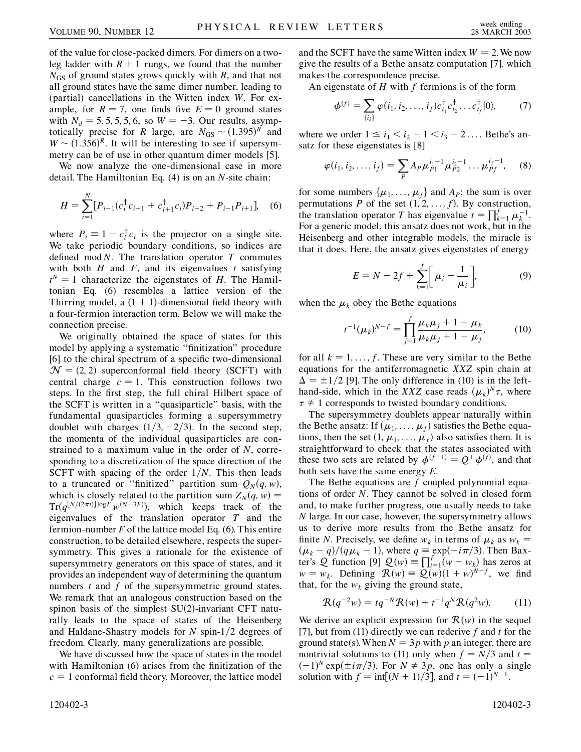of the value for close-packed dimers. For dimers on a twoleg ladder with  $R + 1$  rungs, we found that the number  $N_{\text{GS}}$  of ground states grows quickly with *R*, and that not all ground states have the same dimer number, leading to (partial) cancellations in the Witten index *W*. For example, for  $R = 7$ , one finds five  $E = 0$  ground states with  $N_d = 5, 5, 5, 5, 6$ , so  $W = -3$ . Our results, asymptotically precise for *R* large, are  $N_{GS} \sim (1.395)^R$  and  $W \sim (1.356)^R$ . It will be interesting to see if supersymmetry can be of use in other quantum dimer models [5].

We now analyze the one-dimensional case in more detail. The Hamiltonian Eq. (4) is on an *N*-site chain:

$$
H = \sum_{i=1}^{N} [P_{i-1}(c_i^{\dagger} c_{i+1} + c_{i+1}^{\dagger} c_i) P_{i+2} + P_{i-1} P_{i+1}], \quad (6)
$$

where  $P_i \equiv 1 - c_i^{\dagger} c_i$  is the projector on a single site. We take periodic boundary conditions, so indices are defined mod *N*. The translation operator *T* commutes with both *H* and *F*, and its eigenvalues *t* satisfying  $t^N = 1$  characterize the eigenstates of *H*. The Hamiltonian Eq. (6) resembles a lattice version of the Thirring model, a  $(1 + 1)$ -dimensional field theory with a four-fermion interaction term. Below we will make the connection precise.

We originally obtained the space of states for this model by applying a systematic ''finitization'' procedure [6] to the chiral spectrum of a specific two-dimensional  $\mathcal{N} = (2, 2)$  superconformal field theory (SCFT) with central charge  $c = 1$ . This construction follows two steps. In the first step, the full chiral Hilbert space of the SCFT is written in a ''quasiparticle'' basis, with the fundamental quasiparticles forming a supersymmetry doublet with charges  $(1/3, -2/3)$ . In the second step, the momenta of the individual quasiparticles are constrained to a maximum value in the order of *N*, corresponding to a discretization of the space direction of the SCFT with spacing of the order  $1/N$ . This then leads to a truncated or "finitized" partition sum  $Q_N(q, w)$ , which is closely related to the partition sum  $Z_N(q, w) =$  $Tr(q^{[N/(2\pi i)]\log T} w^{(N-3F)}),$  which keeps track of the eigenvalues of the translation operator *T* and the fermion-number *F* of the lattice model Eq. (6). This entire construction, to be detailed elsewhere, respects the supersymmetry. This gives a rationale for the existence of supersymmetry generators on this space of states, and it provides an independent way of determining the quantum numbers *t* and *f* of the supersymmetric ground states. We remark that an analogous construction based on the spinon basis of the simplest  $SU(2)$ -invariant CFT naturally leads to the space of states of the Heisenberg and Haldane-Shastry models for  $N$  spin-1/2 degrees of freedom. Clearly, many generalizations are possible.

We have discussed how the space of states in the model with Hamiltonian (6) arises from the finitization of the  $c = 1$  conformal field theory. Moreover, the lattice model and the SCFT have the same Witten index  $W = 2$ . We now give the results of a Bethe ansatz computation [7]. which makes the correspondence precise.

An eigenstate of *H* with *f* fermions is of the form

$$
\phi^{(f)} = \sum_{\{i_k\}} \varphi(i_1, i_2, \dots, i_f) c_{i_1}^{\dagger} c_{i_2}^{\dagger} \dots c_{i_f}^{\dagger} |0\rangle, \tag{7}
$$

where we order  $1 \le i_1 < i_2 - 1 < i_3 - 2 \dots$ . Bethe's ansatz for these eigenstates is [8]

$$
\varphi(i_1, i_2, \dots, i_f) = \sum_P A_P \mu_{P1}^{i_1 - 1} \mu_{P2}^{i_2 - 1} \dots \mu_{Pf}^{i_f - 1}, \quad (8)
$$

for some numbers  $\{\mu_1, \ldots, \mu_f\}$  and  $A_P$ ; the sum is over permutations *P* of the set  $(1, 2, \ldots, f)$ . By construction, the translation operator *T* has eigenvalue  $t = \prod_{k=1}^{d} \mu_k^{-1}$ . For a generic model, this ansatz does not work, but in the Heisenberg and other integrable models, the miracle is that it does. Here, the ansatz gives eigenstates of energy

$$
E = N - 2f + \sum_{k=1}^{f} \left[ \mu_i + \frac{1}{\mu_i} \right],
$$
 (9)

when the  $\mu_k$  obey the Bethe equations

$$
t^{-1}(\mu_k)^{N-f} = \prod_{j=1}^f \frac{\mu_k \mu_j + 1 - \mu_k}{\mu_k \mu_j + 1 - \mu_j},
$$
 (10)

for all  $k = 1, \ldots, f$ . These are very similar to the Bethe equations for the antiferromagnetic *XXZ* spin chain at  $\Delta = \pm 1/2$  [9]. The only difference in (10) is in the lefthand-side, which in the *XXZ* case reads  $(\mu_k)^N \tau$ , where  $\tau \neq 1$  corresponds to twisted boundary conditions.

The supersymmetry doublets appear naturally within the Bethe ansatz: If  $(\mu_1, \ldots, \mu_f)$  satisfies the Bethe equations, then the set  $(1, \mu_1, \ldots, \mu_f)$  also satisfies them. It is straightforward to check that the states associated with these two sets are related by  $\phi^{(f+1)} = Q^+ \phi^{(f)}$ , and that both sets have the same energy *E*.

The Bethe equations are *f* coupled polynomial equations of order *N*. They cannot be solved in closed form and, to make further progress, one usually needs to take *N* large. In our case, however, the supersymmetry allows us to derive more results from the Bethe ansatz for finite *N*. Precisely, we define  $w_k$  in terms of  $\mu_k$  as  $w_k =$  $(\mu_k - q)/(q\mu_k - 1)$ , where  $q \equiv \exp(-i\pi/3)$ . Then Baxter's Q function [9]  $Q(w) = \prod_{i=1}^{f} (w - w_k)$  has zeros at  $w = w_k$ . Defining  $\mathcal{R}(w) = \mathcal{Q}(w)(1 + w)^{N-f}$ , we find that, for the  $w_k$  giving the ground state,

$$
\mathcal{R}(q^{-2}w) = tq^{-N}\mathcal{R}(w) + t^{-1}q^N\mathcal{R}(q^2w).
$$
 (11)

We derive an explicit expression for  $\mathcal{R}(w)$  in the sequel [7], but from (11) directly we can rederive *f* and *t* for the ground state(s). When  $N = 3p$  with p an integer, there are nontrivial solutions to (11) only when  $f = N/3$  and  $t =$  $(-1)^N$  exp( $\pm i\pi/3$ ). For  $N \neq 3p$ , one has only a single solution with  $f = \text{int}[(N + 1)/3]$ , and  $t = (-1)^{N-1}$ .